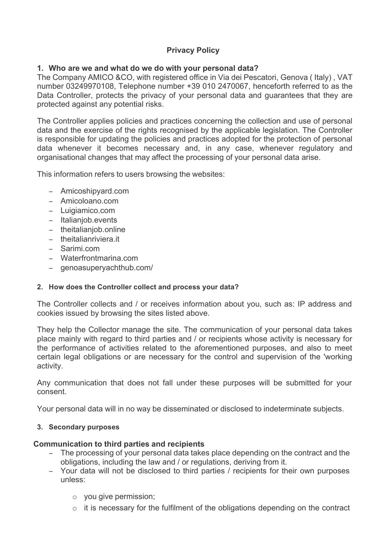# **Privacy Policy**

## **1. Who are we and what do we do with your personal data?**

The Company AMICO &CO, with registered office in Via dei Pescatori, Genova ( Italy) , VAT number 03249970108, Telephone number +39 010 2470067, henceforth referred to as the Data Controller, protects the privacy of your personal data and guarantees that they are protected against any potential risks.

The Controller applies policies and practices concerning the collection and use of personal data and the exercise of the rights recognised by the applicable legislation. The Controller is responsible for updating the policies and practices adopted for the protection of personal data whenever it becomes necessary and, in any case, whenever regulatory and organisational changes that may affect the processing of your personal data arise.

This information refers to users browsing the websites:

- − Amicoshipyard.com
- − Amicoloano.com
- − Luigiamico.com
- − Italianjob.events
- − theitalianjob.online
- − theitalianriviera.it
- − Sarimi.com
- − Waterfrontmarina.com
- − genoasuperyachthub.com/

## **2. How does the Controller collect and process your data?**

The Controller collects and / or receives information about you, such as: IP address and cookies issued by browsing the sites listed above.

They help the Collector manage the site. The communication of your personal data takes place mainly with regard to third parties and / or recipients whose activity is necessary for the performance of activities related to the aforementioned purposes, and also to meet certain legal obligations or are necessary for the control and supervision of the 'working activity.

Any communication that does not fall under these purposes will be submitted for your consent.

Your personal data will in no way be disseminated or disclosed to indeterminate subjects.

## **3. Secondary purposes**

## **Communication to third parties and recipients**

- − The processing of your personal data takes place depending on the contract and the obligations, including the law and / or regulations, deriving from it.
- − Your data will not be disclosed to third parties / recipients for their own purposes unless:
	- o you give permission;
	- o it is necessary for the fulfilment of the obligations depending on the contract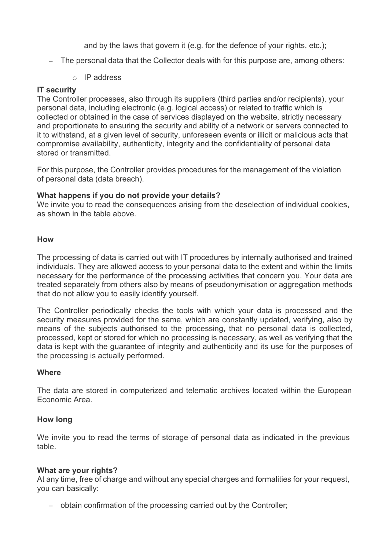and by the laws that govern it (e.g. for the defence of your rights, etc.);

- − The personal data that the Collector deals with for this purpose are, among others:
	- o IP address

## **IT security**

The Controller processes, also through its suppliers (third parties and/or recipients), your personal data, including electronic (e.g. logical access) or related to traffic which is collected or obtained in the case of services displayed on the website, strictly necessary and proportionate to ensuring the security and ability of a network or servers connected to it to withstand, at a given level of security, unforeseen events or illicit or malicious acts that compromise availability, authenticity, integrity and the confidentiality of personal data stored or transmitted.

For this purpose, the Controller provides procedures for the management of the violation of personal data (data breach).

#### **What happens if you do not provide your details?**

We invite you to read the consequences arising from the deselection of individual cookies, as shown in the table above.

#### **How**

The processing of data is carried out with IT procedures by internally authorised and trained individuals. They are allowed access to your personal data to the extent and within the limits necessary for the performance of the processing activities that concern you. Your data are treated separately from others also by means of pseudonymisation or aggregation methods that do not allow you to easily identify yourself.

The Controller periodically checks the tools with which your data is processed and the security measures provided for the same, which are constantly updated, verifying, also by means of the subjects authorised to the processing, that no personal data is collected, processed, kept or stored for which no processing is necessary, as well as verifying that the data is kept with the guarantee of integrity and authenticity and its use for the purposes of the processing is actually performed.

#### **Where**

The data are stored in computerized and telematic archives located within the European Economic Area.

## **How long**

We invite you to read the terms of storage of personal data as indicated in the previous table.

#### **What are your rights?**

At any time, free of charge and without any special charges and formalities for your request, you can basically:

− obtain confirmation of the processing carried out by the Controller;